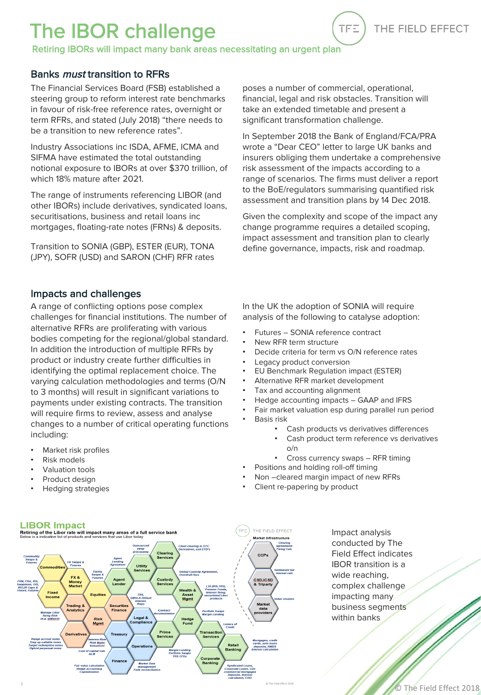# The IBOR challenge

Retiring IBORs will impact many bank areas necessitating an urgent plan

#### Banks must transition to RFRs

The Financial Services Board (FSB) established a steering group to reform interest rate benchmarks in favour of risk-free reference rates, overnight or term RFRs, and stated (July 2018) "there needs to be a transition to new reference rates".

Industry Associations inc ISDA, AFME, ICMA and SIFMA have estimated the total outstanding notional exposure to IBORs at over \$370 trillion, of which 18% mature after 2021.

The range of instruments referencing LIBOR (and other IBORs) include derivatives, syndicated loans, securitisations, business and retail loans inc mortgages, floating-rate notes (FRNs) & deposits.

Transition to SONIA (GBP), ESTER (EUR), TONA (JPY), SOFR (USD) and SARON (CHF) RFR rates

poses a number of commercial, operational, financial, legal and risk obstacles. Transition will take an extended timetable and present a significant transformation challenge.

TFE

THE FIELD EFFECT

In September 2018 the Bank of England/FCA/PRA wrote a "Dear CEO" letter to large UK banks and insurers obliging them undertake a comprehensive risk assessment of the impacts according to a range of scenarios. The firms must deliver a report to the BoE/regulators summarising quantified risk assessment and transition plans by 14 Dec 2018.

Given the complexity and scope of the impact any change programme requires a detailed scoping, impact assessment and transition plan to clearly define governance, impacts, risk and roadmap.

#### Impacts and challenges

A range of conflicting options pose complex challenges for financial institutions. The number of alternative RFRs are proliferating with various bodies competing for the regional/global standard. In addition the introduction of multiple RFRs by product or industry create further difficulties in identifying the optimal replacement choice. The varying calculation methodologies and terms (O/N to 3 months) will result in significant variations to payments under existing contracts. The transition will require firms to review, assess and analyse changes to a number of critical operating functions including:

- Market risk profiles
- Risk models
- Valuation tools
- Product design
- Hedging strategies

In the UK the adoption of SONIA will require analysis of the following to catalyse adoption:

- Futures SONIA reference contract
- New RFR term structure
- Decide criteria for term vs O/N reference rates
- Legacy product conversion
- EU Benchmark Regulation impact (ESTER)
- Alternative RFR market development
- Tax and accounting alignment
- Hedge accounting impacts GAAP and IFRS
- Fair market valuation esp during parallel run period • Basis risk
	- Cash products vs derivatives differences
		- Cash product term reference vs derivatives o/n
	- Cross currency swaps RFR timing
- Positions and holding roll-off timing
- Non –cleared margin impact of new RFRs
- Client re-papering by product



Impact analysis conducted by The Field Effect indicates IBOR transition is a wide reaching, complex challenge impacting many business segments within banks